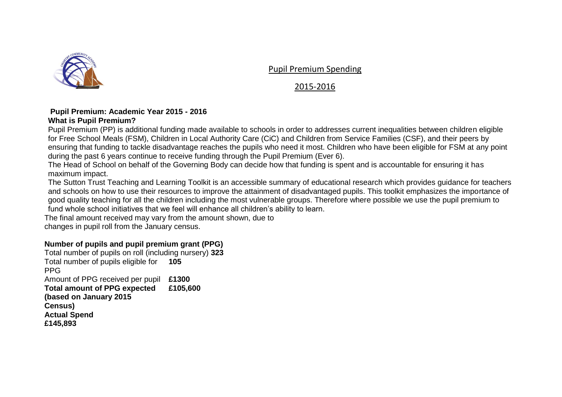

Pupil Premium Spending

## 2015-2016

## **Pupil Premium: Academic Year 2015 - 2016 What is Pupil Premium?**

Pupil Premium (PP) is additional funding made available to schools in order to addresses current inequalities between children eligible for Free School Meals (FSM), Children in Local Authority Care (CiC) and Children from Service Families (CSF), and their peers by ensuring that funding to tackle disadvantage reaches the pupils who need it most. Children who have been eligible for FSM at any point during the past 6 years continue to receive funding through the Pupil Premium (Ever 6).

The Head of School on behalf of the Governing Body can decide how that funding is spent and is accountable for ensuring it has maximum impact.

The Sutton Trust Teaching and Learning Toolkit is an accessible summary of educational research which provides guidance for teachers and schools on how to use their resources to improve the attainment of disadvantaged pupils. This toolkit emphasizes the importance of good quality teaching for all the children including the most vulnerable groups. Therefore where possible we use the pupil premium to fund whole school initiatives that we feel will enhance all children's ability to learn.

The final amount received may vary from the amount shown, due to changes in pupil roll from the January census.

## **Number of pupils and pupil premium grant (PPG)**

Total number of pupils on roll (including nursery) **323**  Total number of pupils eligible for **105**  PPG Amount of PPG received per pupil **£1300 Total amount of PPG expected (based on January 2015 Census) Actual Spend £145,893 £105,600**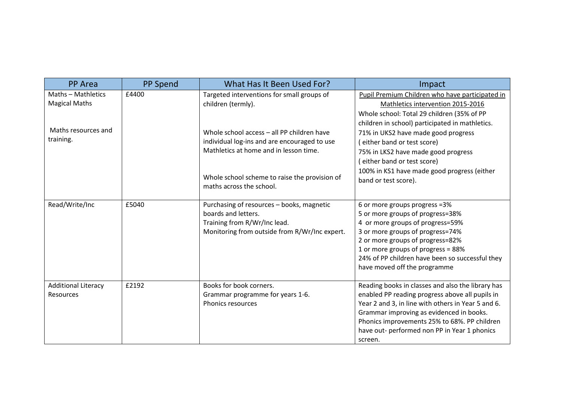| <b>PP</b> Area             | <b>PP Spend</b> | What Has It Been Used For?                    | Impact                                             |
|----------------------------|-----------------|-----------------------------------------------|----------------------------------------------------|
| Maths - Mathletics         | £4400           | Targeted interventions for small groups of    | Pupil Premium Children who have participated in    |
| <b>Magical Maths</b>       |                 | children (termly).                            | Mathletics intervention 2015-2016                  |
|                            |                 |                                               | Whole school: Total 29 children (35% of PP         |
|                            |                 |                                               | children in school) participated in mathletics.    |
| Maths resources and        |                 | Whole school access - all PP children have    | 71% in UKS2 have made good progress                |
| training.                  |                 | individual log-ins and are encouraged to use  | either band or test score)                         |
|                            |                 | Mathletics at home and in lesson time.        | 75% in LKS2 have made good progress                |
|                            |                 |                                               | either band or test score)                         |
|                            |                 |                                               | 100% in KS1 have made good progress (either        |
|                            |                 | Whole school scheme to raise the provision of | band or test score).                               |
|                            |                 | maths across the school.                      |                                                    |
| Read/Write/Inc             | £5040           | Purchasing of resources - books, magnetic     | 6 or more groups progress = 3%                     |
|                            |                 | boards and letters.                           | 5 or more groups of progress=38%                   |
|                            |                 | Training from R/Wr/Inc lead.                  | 4 or more groups of progress=59%                   |
|                            |                 | Monitoring from outside from R/Wr/Inc expert. | 3 or more groups of progress=74%                   |
|                            |                 |                                               | 2 or more groups of progress=82%                   |
|                            |                 |                                               | 1 or more groups of progress = 88%                 |
|                            |                 |                                               | 24% of PP children have been so successful they    |
|                            |                 |                                               | have moved off the programme                       |
| <b>Additional Literacy</b> | £2192           | Books for book corners.                       | Reading books in classes and also the library has  |
| <b>Resources</b>           |                 | Grammar programme for years 1-6.              | enabled PP reading progress above all pupils in    |
|                            |                 | Phonics resources                             | Year 2 and 3, in line with others in Year 5 and 6. |
|                            |                 |                                               | Grammar improving as evidenced in books.           |
|                            |                 |                                               | Phonics improvements 25% to 68%. PP children       |
|                            |                 |                                               | have out- performed non PP in Year 1 phonics       |
|                            |                 |                                               | screen.                                            |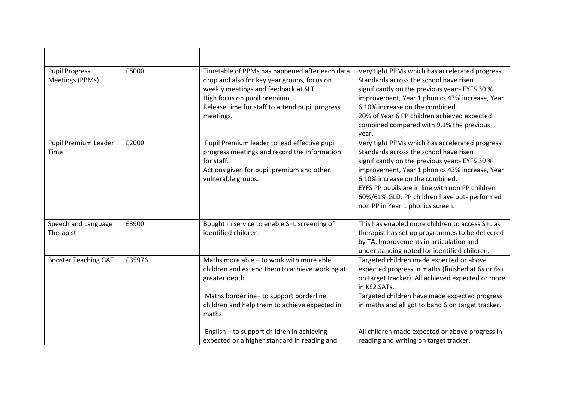| <b>Pupil Progress</b><br>Meetings (PPMs) | £5000  | Timetable of PPMs has happened after each data<br>drop and also for key year groups, focus on<br>weekly meetings and feedback at SLT.<br>High focus on pupil premium.<br>Release time for staff to attend pupil progress<br>meetings. | Very tight PPMs which has accelerated progress.<br>Standards across the school have risen<br>significantly on the previous year:- EYFS 30 %<br>improvement, Year 1 phonics 43% increase, Year<br>6 10% increase on the combined.<br>20% of Year 6 PP children achieved expected<br>combined compared with 9.1% the previous<br>year.                                    |
|------------------------------------------|--------|---------------------------------------------------------------------------------------------------------------------------------------------------------------------------------------------------------------------------------------|-------------------------------------------------------------------------------------------------------------------------------------------------------------------------------------------------------------------------------------------------------------------------------------------------------------------------------------------------------------------------|
| Pupil Premium Leader<br>Time             | £2000  | Pupil Premium leader to lead effective pupil<br>progress meetings and record the information<br>for staff.<br>Actions given for pupil premium and other<br>vulnerable groups.                                                         | Very tight PPMs which has accelerated progress.<br>Standards across the school have risen<br>significantly on the previous year:- EYFS 30 %<br>improvement, Year 1 phonics 43% increase, Year<br>6 10% increase on the combined.<br>EYFS PP pupils are in line with non PP children<br>60%/61% GLD. PP children have out- performed<br>non PP in Year 1 phonics screen. |
| Speech and Language<br>Therapist         | £3900  | Bought in service to enable S+L screening of<br>identified children.                                                                                                                                                                  | This has enabled more children to access S+L as<br>therapist has set up programmes to be delivered<br>by TA. Improvements in articulation and<br>understanding noted for identified children.                                                                                                                                                                           |
| <b>Booster Teaching GAT</b>              | £35976 | Maths more able - to work with more able<br>children and extend them to achieve working at<br>greater depth.<br>Maths borderline- to support borderline<br>children and help them to achieve expected in<br>maths.                    | Targeted children made expected or above<br>expected progress in maths (finished at 6s or 6s+<br>on target tracker). All achieved expected or more<br>in KS2 SATs.<br>Targeted children have made expected progress<br>in maths and all got to band 6 on target tracker.                                                                                                |
|                                          |        | English - to support children in achieving<br>expected or a higher standard in reading and                                                                                                                                            | All children made expected or above progress in<br>reading and writing on target tracker.                                                                                                                                                                                                                                                                               |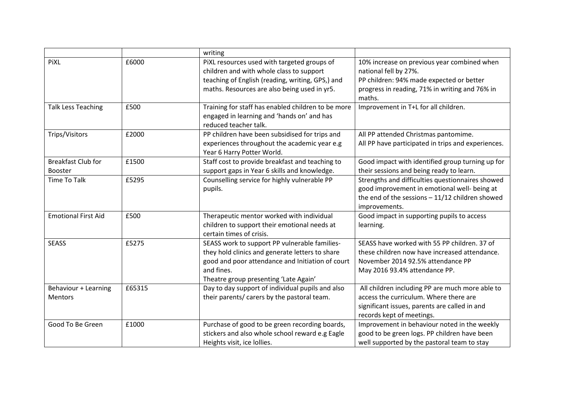|                                             |        | writing                                                                                                                                                                                                     |                                                                                                                                                                              |
|---------------------------------------------|--------|-------------------------------------------------------------------------------------------------------------------------------------------------------------------------------------------------------------|------------------------------------------------------------------------------------------------------------------------------------------------------------------------------|
| PiXL                                        | £6000  | PiXL resources used with targeted groups of<br>children and with whole class to support<br>teaching of English (reading, writing, GPS,) and<br>maths. Resources are also being used in yr5.                 | 10% increase on previous year combined when<br>national fell by 27%.<br>PP children: 94% made expected or better<br>progress in reading, 71% in writing and 76% in<br>maths. |
| <b>Talk Less Teaching</b>                   | £500   | Training for staff has enabled children to be more<br>engaged in learning and 'hands on' and has<br>reduced teacher talk.                                                                                   | Improvement in T+L for all children.                                                                                                                                         |
| Trips/Visitors                              | £2000  | PP children have been subsidised for trips and<br>experiences throughout the academic year e.g<br>Year 6 Harry Potter World.                                                                                | All PP attended Christmas pantomime.<br>All PP have participated in trips and experiences.                                                                                   |
| <b>Breakfast Club for</b><br><b>Booster</b> | £1500  | Staff cost to provide breakfast and teaching to<br>support gaps in Year 6 skills and knowledge.                                                                                                             | Good impact with identified group turning up for<br>their sessions and being ready to learn.                                                                                 |
| <b>Time To Talk</b>                         | £5295  | Counselling service for highly vulnerable PP<br>pupils.                                                                                                                                                     | Strengths and difficulties questionnaires showed<br>good improvement in emotional well- being at<br>the end of the sessions $-11/12$ children showed<br>improvements.        |
| <b>Emotional First Aid</b>                  | £500   | Therapeutic mentor worked with individual<br>children to support their emotional needs at<br>certain times of crisis.                                                                                       | Good impact in supporting pupils to access<br>learning.                                                                                                                      |
| <b>SEASS</b>                                | £5275  | SEASS work to support PP vulnerable families-<br>they hold clinics and generate letters to share<br>good and poor attendance and Initiation of court<br>and fines.<br>Theatre group presenting 'Late Again' | SEASS have worked with 55 PP children. 37 of<br>these children now have increased attendance.<br>November 2014 92.5% attendance PP<br>May 2016 93.4% attendance PP.          |
| Behaviour + Learning<br>Mentors             | £65315 | Day to day support of individual pupils and also<br>their parents/ carers by the pastoral team.                                                                                                             | All children including PP are much more able to<br>access the curriculum. Where there are<br>significant issues, parents are called in and<br>records kept of meetings.      |
| Good To Be Green                            | £1000  | Purchase of good to be green recording boards,<br>stickers and also whole school reward e.g Eagle<br>Heights visit, ice lollies.                                                                            | Improvement in behaviour noted in the weekly<br>good to be green logs. PP children have been<br>well supported by the pastoral team to stay                                  |